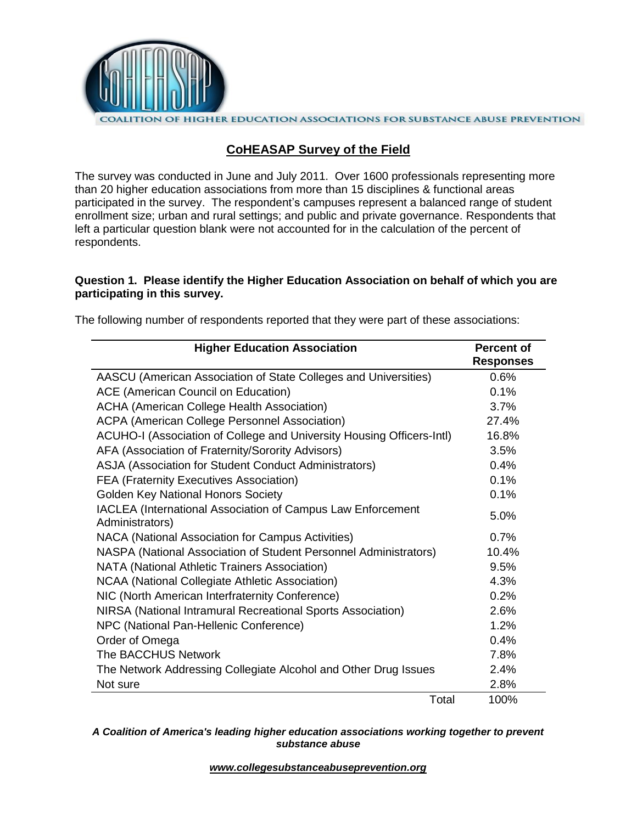

# **CoHEASAP Survey of the Field**

The survey was conducted in June and July 2011. Over 1600 professionals representing more than 20 higher education associations from more than 15 disciplines & functional areas participated in the survey. The respondent's campuses represent a balanced range of student enrollment size; urban and rural settings; and public and private governance. Respondents that left a particular question blank were not accounted for in the calculation of the percent of respondents.

### **Question 1. Please identify the Higher Education Association on behalf of which you are participating in this survey.**

| <b>Higher Education Association</b>                                            | <b>Percent of</b><br><b>Responses</b> |
|--------------------------------------------------------------------------------|---------------------------------------|
| AASCU (American Association of State Colleges and Universities)                | 0.6%                                  |
| <b>ACE (American Council on Education)</b>                                     | 0.1%                                  |
| <b>ACHA (American College Health Association)</b>                              | 3.7%                                  |
| <b>ACPA (American College Personnel Association)</b>                           | 27.4%                                 |
| ACUHO-I (Association of College and University Housing Officers-Intl)          | 16.8%                                 |
| AFA (Association of Fraternity/Sorority Advisors)                              | 3.5%                                  |
| ASJA (Association for Student Conduct Administrators)                          | 0.4%                                  |
| <b>FEA (Fraternity Executives Association)</b>                                 | 0.1%                                  |
| <b>Golden Key National Honors Society</b>                                      | 0.1%                                  |
| IACLEA (International Association of Campus Law Enforcement<br>Administrators) | 5.0%                                  |
| NACA (National Association for Campus Activities)                              | 0.7%                                  |
| NASPA (National Association of Student Personnel Administrators)               | 10.4%                                 |
| NATA (National Athletic Trainers Association)                                  | 9.5%                                  |
| NCAA (National Collegiate Athletic Association)                                | 4.3%                                  |
| NIC (North American Interfraternity Conference)                                | 0.2%                                  |
| NIRSA (National Intramural Recreational Sports Association)                    | 2.6%                                  |
| NPC (National Pan-Hellenic Conference)                                         | 1.2%                                  |
| Order of Omega                                                                 | 0.4%                                  |
| The BACCHUS Network                                                            | 7.8%                                  |
| The Network Addressing Collegiate Alcohol and Other Drug Issues                | 2.4%                                  |
| Not sure                                                                       | 2.8%                                  |
| Total                                                                          | 100%                                  |

The following number of respondents reported that they were part of these associations:

*A Coalition of America's leading higher education associations working together to prevent substance abuse*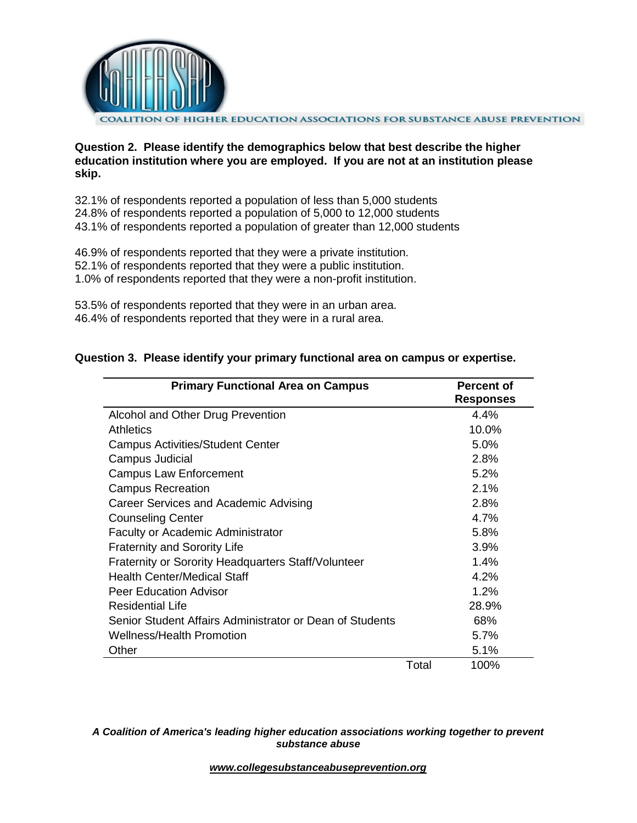

**Question 2. Please identify the demographics below that best describe the higher education institution where you are employed. If you are not at an institution please skip.**

32.1% of respondents reported a population of less than 5,000 students 24.8% of respondents reported a population of 5,000 to 12,000 students 43.1% of respondents reported a population of greater than 12,000 students

46.9% of respondents reported that they were a private institution. 52.1% of respondents reported that they were a public institution. 1.0% of respondents reported that they were a non-profit institution.

53.5% of respondents reported that they were in an urban area. 46.4% of respondents reported that they were in a rural area.

| <b>Primary Functional Area on Campus</b>                 |       | <b>Percent of</b><br><b>Responses</b> |
|----------------------------------------------------------|-------|---------------------------------------|
| Alcohol and Other Drug Prevention                        |       | 4.4%                                  |
| <b>Athletics</b>                                         |       | 10.0%                                 |
| <b>Campus Activities/Student Center</b>                  |       | 5.0%                                  |
| Campus Judicial                                          |       | 2.8%                                  |
| <b>Campus Law Enforcement</b>                            |       | 5.2%                                  |
| <b>Campus Recreation</b>                                 |       | 2.1%                                  |
| Career Services and Academic Advising                    |       | 2.8%                                  |
| <b>Counseling Center</b>                                 |       | 4.7%                                  |
| <b>Faculty or Academic Administrator</b>                 |       | 5.8%                                  |
| <b>Fraternity and Sorority Life</b>                      |       | 3.9%                                  |
| Fraternity or Sorority Headquarters Staff/Volunteer      |       | $1.4\%$                               |
| Health Center/Medical Staff                              |       | 4.2%                                  |
| <b>Peer Education Advisor</b>                            |       | 1.2%                                  |
| <b>Residential Life</b>                                  |       | 28.9%                                 |
| Senior Student Affairs Administrator or Dean of Students |       | 68%                                   |
| Wellness/Health Promotion                                |       | 5.7%                                  |
| Other                                                    |       | 5.1%                                  |
|                                                          | Total | 100%                                  |

## **Question 3. Please identify your primary functional area on campus or expertise.**

*A Coalition of America's leading higher education associations working together to prevent substance abuse*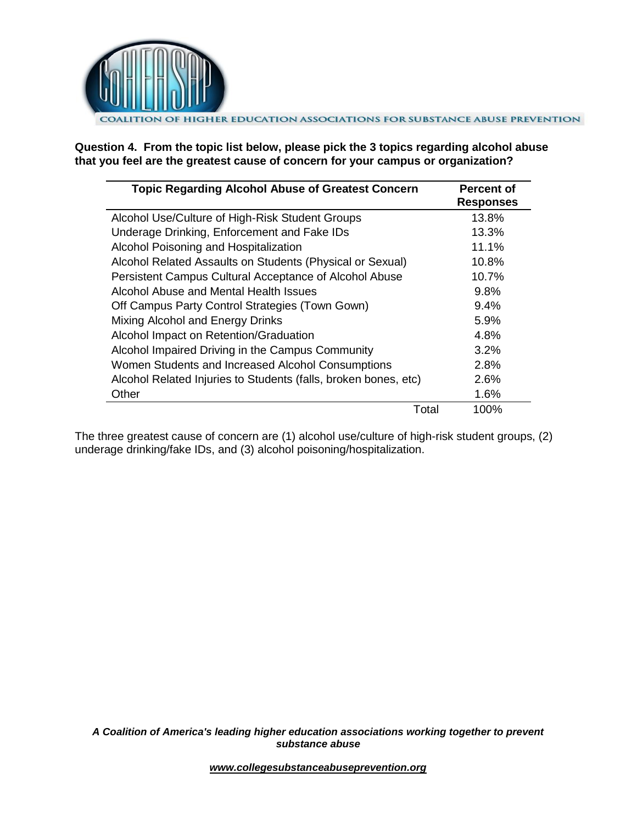

**Question 4. From the topic list below, please pick the 3 topics regarding alcohol abuse that you feel are the greatest cause of concern for your campus or organization?**

| <b>Topic Regarding Alcohol Abuse of Greatest Concern</b>        | <b>Percent of</b><br><b>Responses</b> |
|-----------------------------------------------------------------|---------------------------------------|
| Alcohol Use/Culture of High-Risk Student Groups                 | 13.8%                                 |
| Underage Drinking, Enforcement and Fake IDs                     | 13.3%                                 |
| Alcohol Poisoning and Hospitalization                           | 11.1%                                 |
| Alcohol Related Assaults on Students (Physical or Sexual)       | 10.8%                                 |
| Persistent Campus Cultural Acceptance of Alcohol Abuse          | 10.7%                                 |
| Alcohol Abuse and Mental Health Issues                          | 9.8%                                  |
| Off Campus Party Control Strategies (Town Gown)                 | 9.4%                                  |
| Mixing Alcohol and Energy Drinks                                | 5.9%                                  |
| Alcohol Impact on Retention/Graduation                          | 4.8%                                  |
| Alcohol Impaired Driving in the Campus Community                | 3.2%                                  |
| Women Students and Increased Alcohol Consumptions               | 2.8%                                  |
| Alcohol Related Injuries to Students (falls, broken bones, etc) | 2.6%                                  |
| Other                                                           | 1.6%                                  |
| Total                                                           | 100%                                  |

The three greatest cause of concern are (1) alcohol use/culture of high-risk student groups, (2) underage drinking/fake IDs, and (3) alcohol poisoning/hospitalization.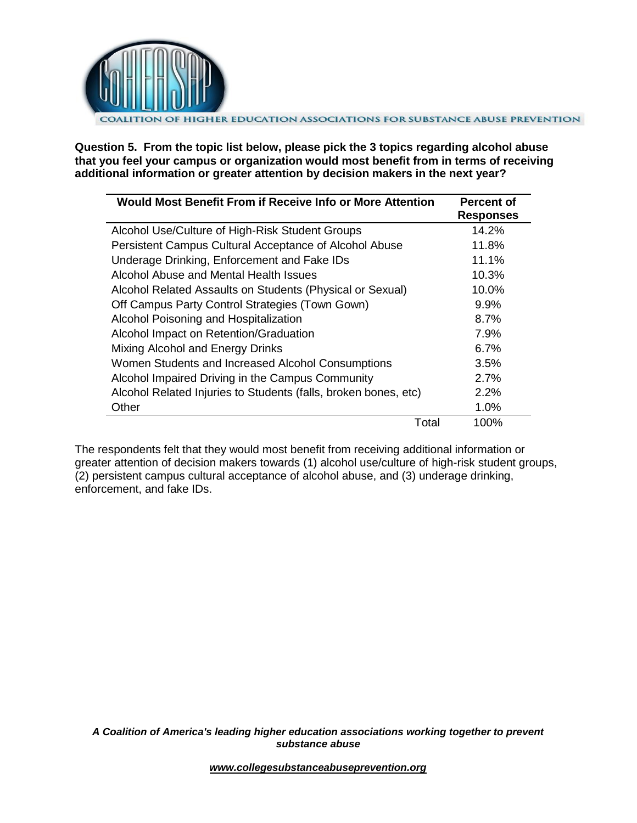

**Question 5. From the topic list below, please pick the 3 topics regarding alcohol abuse that you feel your campus or organization would most benefit from in terms of receiving additional information or greater attention by decision makers in the next year?**

| Would Most Benefit From if Receive Info or More Attention       | <b>Percent of</b><br><b>Responses</b> |
|-----------------------------------------------------------------|---------------------------------------|
| Alcohol Use/Culture of High-Risk Student Groups                 | 14.2%                                 |
| Persistent Campus Cultural Acceptance of Alcohol Abuse          | 11.8%                                 |
| Underage Drinking, Enforcement and Fake IDs                     | 11.1%                                 |
| Alcohol Abuse and Mental Health Issues                          | 10.3%                                 |
| Alcohol Related Assaults on Students (Physical or Sexual)       | 10.0%                                 |
| Off Campus Party Control Strategies (Town Gown)                 | $9.9\%$                               |
| Alcohol Poisoning and Hospitalization                           | 8.7%                                  |
| Alcohol Impact on Retention/Graduation                          | 7.9%                                  |
| Mixing Alcohol and Energy Drinks                                | 6.7%                                  |
| Women Students and Increased Alcohol Consumptions               | 3.5%                                  |
| Alcohol Impaired Driving in the Campus Community                | 2.7%                                  |
| Alcohol Related Injuries to Students (falls, broken bones, etc) | 2.2%                                  |
| Other                                                           | 1.0%                                  |
| Total                                                           | 100%                                  |

The respondents felt that they would most benefit from receiving additional information or greater attention of decision makers towards (1) alcohol use/culture of high-risk student groups, (2) persistent campus cultural acceptance of alcohol abuse, and (3) underage drinking, enforcement, and fake IDs.

*A Coalition of America's leading higher education associations working together to prevent substance abuse*

*www.collegesubstanceabuseprevention.org*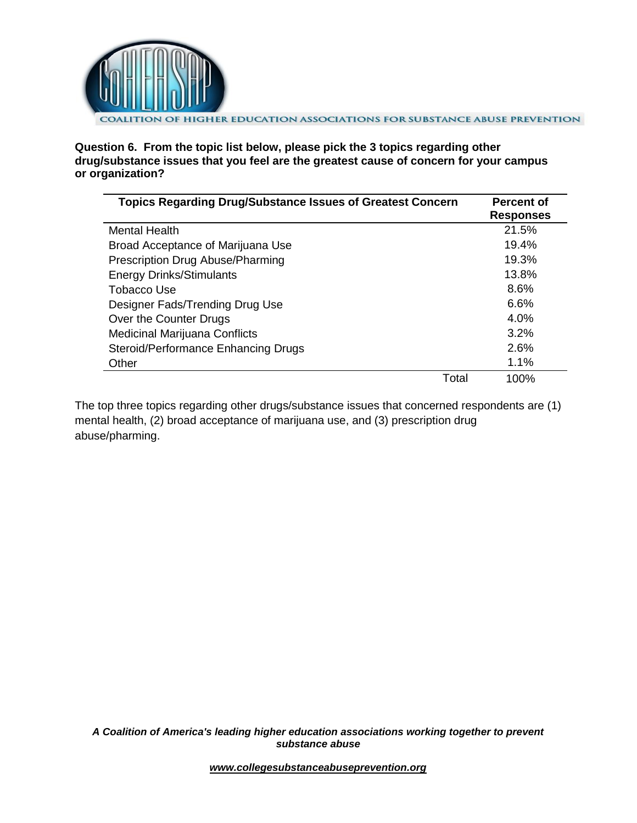

**Question 6. From the topic list below, please pick the 3 topics regarding other drug/substance issues that you feel are the greatest cause of concern for your campus or organization?**

| <b>Topics Regarding Drug/Substance Issues of Greatest Concern</b> | <b>Percent of</b><br><b>Responses</b> |
|-------------------------------------------------------------------|---------------------------------------|
| <b>Mental Health</b>                                              | 21.5%                                 |
| Broad Acceptance of Marijuana Use                                 | 19.4%                                 |
| Prescription Drug Abuse/Pharming                                  | 19.3%                                 |
| <b>Energy Drinks/Stimulants</b>                                   | 13.8%                                 |
| Tobacco Use                                                       | 8.6%                                  |
| Designer Fads/Trending Drug Use                                   | 6.6%                                  |
| Over the Counter Drugs                                            | 4.0%                                  |
| <b>Medicinal Marijuana Conflicts</b>                              | 3.2%                                  |
| Steroid/Performance Enhancing Drugs                               | 2.6%                                  |
| Other                                                             | 1.1%                                  |
| Total                                                             | 100%                                  |

The top three topics regarding other drugs/substance issues that concerned respondents are (1) mental health, (2) broad acceptance of marijuana use, and (3) prescription drug abuse/pharming.